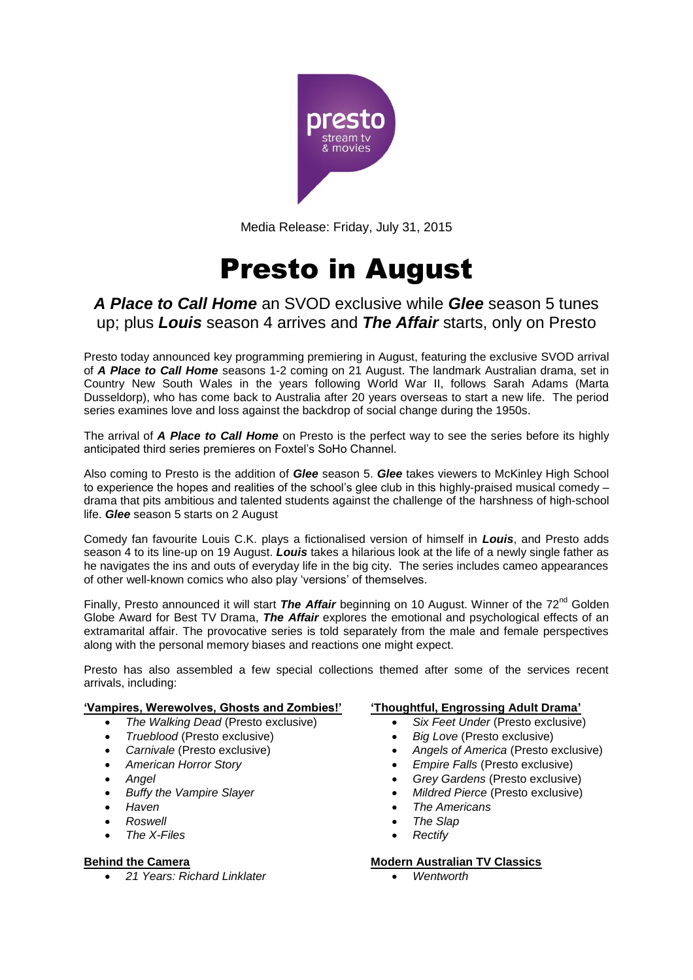

Media Release: Friday, July 31, 2015

# Presto in August

## *A Place to Call Home* an SVOD exclusive while *Glee* season 5 tunes up; plus *Louis* season 4 arrives and *The Affair* starts, only on Presto

Presto today announced key programming premiering in August, featuring the exclusive SVOD arrival of *A Place to Call Home* seasons 1-2 coming on 21 August. The landmark Australian drama, set in Country New South Wales in the years following World War II, follows Sarah Adams (Marta Dusseldorp), who has come back to Australia after 20 years overseas to start a new life. The period series examines love and loss against the backdrop of social change during the 1950s.

The arrival of *A Place to Call Home* on Presto is the perfect way to see the series before its highly anticipated third series premieres on Foxtel's SoHo Channel.

Also coming to Presto is the addition of *Glee* season 5. *Glee* takes viewers to McKinley High School to experience the hopes and realities of the school's glee club in this highly-praised musical comedy – drama that pits ambitious and talented students against the challenge of the harshness of high-school life. *Glee* season 5 starts on 2 August

Comedy fan favourite Louis C.K. plays a fictionalised version of himself in *Louis*, and Presto adds season 4 to its line-up on 19 August. *Louis* takes a hilarious look at the life of a newly single father as he navigates the ins and outs of everyday life in the big city. The series includes cameo appearances of other well-known comics who also play 'versions' of themselves.

Finally, Presto announced it will start *The Affair* beginning on 10 August. Winner of the 72<sup>nd</sup> Golden Globe Award for Best TV Drama, *The Affair* explores the emotional and psychological effects of an extramarital affair. The provocative series is told separately from the male and female perspectives along with the personal memory biases and reactions one might expect.

Presto has also assembled a few special collections themed after some of the services recent arrivals, including:

## **'Vampires, Werewolves, Ghosts and Zombies!'**

- *The Walking Dead* (Presto exclusive)
- *Trueblood* (Presto exclusive)
- *Carnivale* (Presto exclusive)
- *American Horror Story*
- *Angel*
- *Buffy the Vampire Slayer*
- *Haven*
- *Roswell*
- *The X-Files*

## **Behind the Camera**

*21 Years: Richard Linklater*

#### **'Thoughtful, Engrossing Adult Drama'**

- *Six Feet Under* (Presto exclusive)
- *Big Love* (Presto exclusive)
- *Angels of America* (Presto exclusive)
- *Empire Falls* (Presto exclusive)
- *Grey Gardens* (Presto exclusive)
- *Mildred Pierce* (Presto exclusive)
- *The Americans*
- *The Slap*
- *Rectify*

## **Modern Australian TV Classics**

*Wentworth*